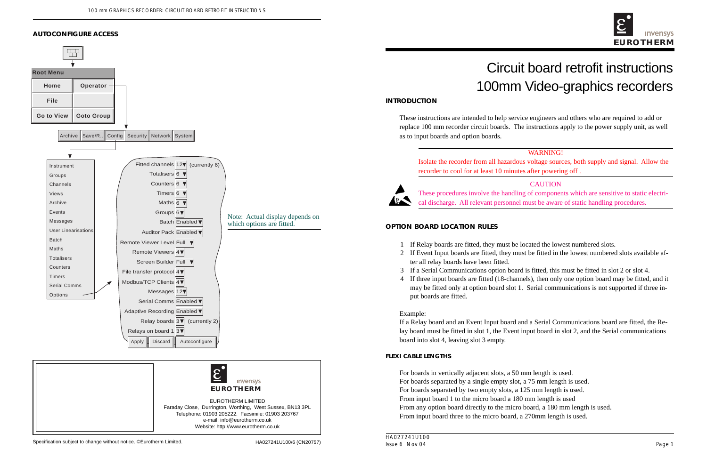

# Circuit board retrofit instructions 100mm Video-graphics recorders

These instructions are intended to help service engineers and others who are required to add or replace 100 mm recorder circuit boards. The instructions apply to the power supply unit, as well

### WARNING!

Isolate the recorder from all hazardous voltage sources, both supply and signal. Allow the

# **CAUTION**

These procedures involve the handling of components which are sensitive to static electrical discharge. All relevant personnel must be aware of static handling procedures.

2 If Event Input boards are fitted, they must be fitted in the lowest numbered slots available af-

3 If a Serial Communications option board is fitted, this must be fitted in slot 2 or slot 4. 4 If three input boards are fitted (18-channels), then only one option board may be fitted, and it may be fitted only at option board slot 1. Serial communications is not supported if three in-

If a Relay board and an Event Input board and a Serial Communications board are fitted, the Relay board must be fitted in slot 1, the Event input board in slot 2, and the Serial communications

From any option board directly to the micro board, a 180 mm length is used. From input board three to the micro board, a 270mm length is used.



EUROTHERM LIMITED Faraday Close, Durrington, Worthing, West Sussex, BN13 3PL Telephone: 01903 205222. Facsimile: 01903 203767 e-mail: info@eurotherm.co.uk Website: http://www.eurotherm.co.uk

### **AUTOCONFIGURE ACCESS**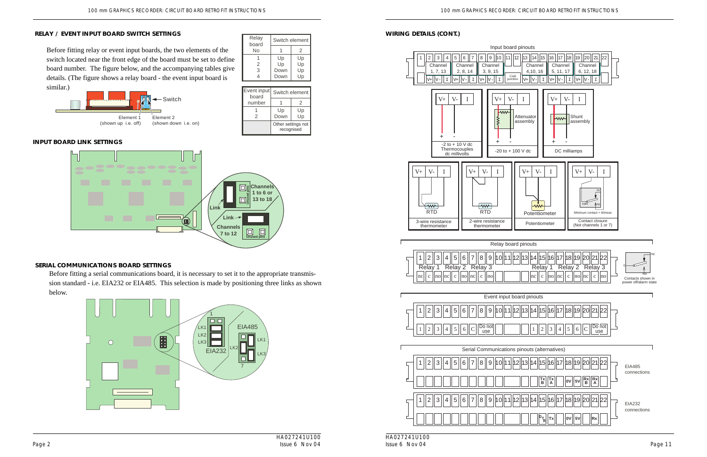### **RELAY / EVENT INPUT BOARD SWITCH SETTINGS**

Switch element  $1 \quad 2$ 

Before fitting relay or event input boards, the two elements of the switch located near the front edge of the board must be set to define board number. The figure below, and the accompanying tables give details. (The figure shows a relay board - the event input board is similar.)



Relay board No

### **SERIAL COMMUNICATIONS BOARD SETTINGS**

Before fitting a serial communications board, it is necessary to set it to the appropriate transmission standard - i.e. EIA232 or EIA485. This selection is made by positioning three links as shown below.

### 1 2 3 4 Up Up Down Down Up Up Up Up Event input Switch element board

### **WIRING DETAILS (CONT.)**



### **INPUT BOARD LINK SETTINGS**



| poard  |                                  |    |
|--------|----------------------------------|----|
| number |                                  | 2  |
|        | Up                               | Up |
| 2      | Down                             | Up |
|        | Other settings not<br>recognised |    |

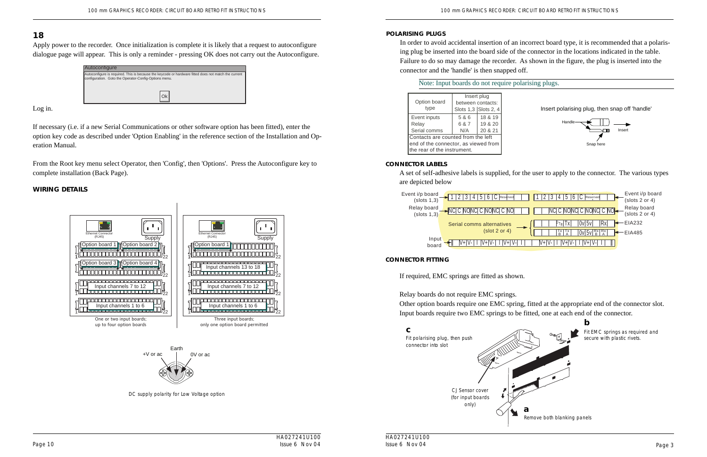DC supply polarity for Low Voltage option

### **WIRING DETAILS**

| Option board<br>type                                                                                      |                       | Insert plug<br>between contacts:<br>Slots 1,3 Slots 2, 4 |  |
|-----------------------------------------------------------------------------------------------------------|-----------------------|----------------------------------------------------------|--|
| Event inputs<br>Relay<br>Serial comms                                                                     | 5 & 6<br>6 & 7<br>N/A | 18 & 19<br>19 & 20<br>20 & 21                            |  |
| Contacts are counted from the left<br>end of the connector, as viewed from<br>the rear of the instrument. |                       |                                                          |  |

### **POLARISING PLUGS**

In order to avoid accidental insertion of an incorrect board type, it is recommended that a polarising plug be inserted into the board side of the connector in the locations indicated in the table. Failure to do so may damage the recorder. As shown in the figure, the plug is inserted into the connector and the 'handle' is then snapped off.

### Note: Input boards do not require polarising plugs.



Insert polarising plug, then snap off 'handle'

### **CONNECTOR LABELS**

A set of self-adhesive labels is supplied, for the user to apply to the connector. The various types are depicted below



| 6<br>5<br>Reserved<br>Reserved                      | Event i/p board<br>$(s$ lots 2 or 4) |
|-----------------------------------------------------|--------------------------------------|
| NC C NONC C NONC C NO-<br>C NO                      | Relay board<br>$(s$ lots 2 or 4)     |
| 0v 5v <br>Кx<br>$PT_R$ $ X $<br>tives               | EIA232                               |
| or $4)$<br>$Rx$ Rx<br>$\frac{Tx}{B}$ $\frac{Tx}{A}$ | EIA485                               |
|                                                     |                                      |

Remove both blanking panels



**b**

### **CONNECTOR FITTING**

If required, EMC springs are fitted as shown.

Relay boards do not require EMC springs. Other option boards require one EMC spring, fitted at the appropriate end of the connector slot. Input boards require two EMC springs to be fitted, one at each end of the connector.

> Fit EMC springs as required and secure with plastic rivets.

+V or ac Earth 0V or ac

# **18**

Apply power to the recorder. Once initialization is complete it is likely that a request to autoconfigure dialogue page will appear. This is only a reminder - pressing OK does not carry out the Autoconfigure.

Log in.

If necessary (i.e. if a new Serial Communications or other software option has been fitted), enter the option key code as described under 'Option Enabling' in the reference section of the Installation and Operation Manual.

From the Root key menu select Operator, then 'Config', then 'Options'. Press the Autoconfigure key to complete installation (Back Page).

| Autoconfigure                                                                                                                                                 |  |  |
|---------------------------------------------------------------------------------------------------------------------------------------------------------------|--|--|
| Autoconfigure is required. This is because the keycode or hardware fitted does not match the current<br>configuration. Goto the Operator-Config-Options menu. |  |  |
|                                                                                                                                                               |  |  |

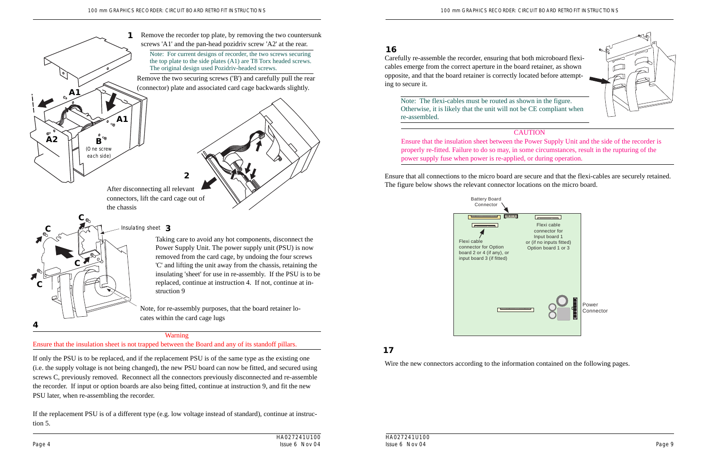

# **CAUTION**

**A1**

 $\overrightarrow{A2}$   $\overrightarrow{H}$   $\overrightarrow{B}$ 

**A1**

(One screw each side)

90



Ensure that all connections to the micro board are secure and that the flexi-cables are securely retained. After disconnecting all relevant **the state of the state of the micro board**. The figure below shows the relevant connector locations on the micro board.

Carefully re-assemble the recorder, ensuring that both microboard flexicables emerge from the correct aperture in the board retainer, as shown opposite, and that the board retainer is correctly located before attempting to secure it.

**16**

Wire the new connectors according to the information contained on the following pages.

# **17**

Ensure that the insulation sheet between the Power Supply Unit and the side of the recorder is properly re-fitted. Failure to do so may, in some circumstances, result in the rupturing of the power supply fuse when power is re-applied, or during operation.

connectors, lift the card cage out of the chassis

**2**

Taking care to avoid any hot components, disconnect the Power Supply Unit. The power supply unit (PSU) is now removed from the card cage, by undoing the four screws 'C' and lifting the unit away from the chassis, retaining the insulating 'sheet' for use in re-assembly. If the PSU is to be replaced, continue at instruction 4. If not, continue at instruction 9

Note, for re-assembly purposes, that the board retainer locates within the card cage lugs

If only the PSU is to be replaced, and if the replacement PSU is of the same type as the existing one (i.e. the supply voltage is not being changed), the new PSU board can now be fitted, and secured using screws C, previously removed. Reconnect all the connectors previously disconnected and re-assemble the recorder. If input or option boards are also being fitted, continue at instruction 9, and fit the new PSU later, when re-assembling the recorder.

If the replacement PSU is of a different type (e.g. low voltage instead of standard), continue at instruction 5.

Remove the recorder top plate, by removing the two countersunk screws 'A1' and the pan-head pozidriv screw 'A2' at the rear.

Note: For current designs of recorder, the two screws securing the top plate to the side plates (A1) are T8 Torx headed screws. The original design used Pozidriv-headed screws.

**1**

### Warning



Ensure that the insulation sheet is not trapped between the Board and any of its standoff pillars.

Note: The flexi-cables must be routed as shown in the figure. Otherwise, it is likely that the unit will not be CE compliant when re-assembled.

Remove the two securing screws ('B') and carefully pull the rear (connector) plate and associated card cage backwards slightly.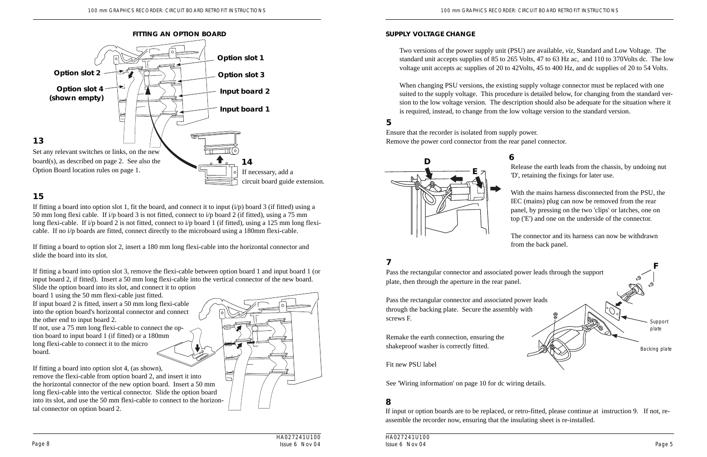HA027241U100 Issue 6 Nov 04 Page 8 and the state of Nov 04 and the Superior State 6 Nov 04 and the Superior State 6 Nov 04 and the Page 5

If fitting a board into option slot 1, fit the board, and connect it to input  $(i/p)$  board 3 (if fitted) using a 50 mm long flexi cable. If i/p board 3 is not fitted, connect to i/p board 2 (if fitted), using a 75 mm long flexi-cable. If i/p board 2 is not fitted, connect to i/p board 1 (if fitted), using a 125 mm long flexicable. If no i/p boards are fitted, connect directly to the microboard using a 180mm flexi-cable.

# **15**

If fitting a board to option slot 2, insert a 180 mm long flexi-cable into the horizontal connector and slide the board into its slot.

If fitting a board into option slot 3, remove the flexi-cable between option board 1 and input board 1 (or input board 2, if fitted). Insert a 50 mm long flexi-cable into the vertical connector of the new board.



Slide the option board into its slot, and connect it to option

board 1 using the 50 mm flexi-cable just fitted.

If input board 2 is fitted, insert a 50 mm long flexi-cable into the option board's horizontal connector and connect the other end to input board 2.

If not, use a 75 mm long flexi-cable to connect the option board to input board 1 (if fitted) or a 180mm long flexi-cable to connect it to the micro board.

If fitting a board into option slot 4, (as shown), E remove the flexi-cable from option board 2, and insert it into the horizontal connector of the new option board. Insert a 50 mm long flexi-cable into the vertical connector. Slide the option board into its slot, and use the 50 mm flexi-cable to connect to the horizontal connector on option board 2.

Ensure that the recorder is isolated from supply power. Remove the power cord connector from the rear panel connector.

# **5**

# **SUPPLY VOLTAGE CHANGE**

Two versions of the power supply unit (PSU) are available, *viz*, Standard and Low Voltage. The standard unit accepts supplies of 85 to 265 Volts, 47 to 63 Hz ac, and 110 to 370Volts dc. The low voltage unit accepts ac supplies of 20 to 42Volts, 45 to 400 Hz, and dc supplies of 20 to 54 Volts.

When changing PSU versions, the existing supply voltage connector must be replaced with one suited to the supply voltage. This procedure is detailed below, for changing from the standard version to the low voltage version. The description should also be adequate for the situation where it is required, instead, to change from the low voltage version to the standard version.

> Release the earth leads from the chassis, by undoing nut 'D', retaining the fixings for later use.

> With the mains harness disconnected from the PSU, the IEC (mains) plug can now be removed from the rear panel, by pressing on the two 'clips' or latches, one on top ('E') and one on the underside of the connector.

The connector and its harness can now be withdrawn from the back panel.

# **7**

If input or option boards are to be replaced, or retro-fitted, please continue at instruction 9. If not, reassemble the recorder now, ensuring that the insulating sheet is re-installed.



# **8**



Pass the rectangular connector and associated power leads through the support plate, then through the aperture in the rear panel.

Pass the rectangular connector and associated power leads through the backing plate. Secure the assembly with screws F.

Remake the earth connection, ensuring the shakeproof washer is correctly fitted.

Fit new PSU label

See 'Wiring information' on page 10 for dc wiring details.